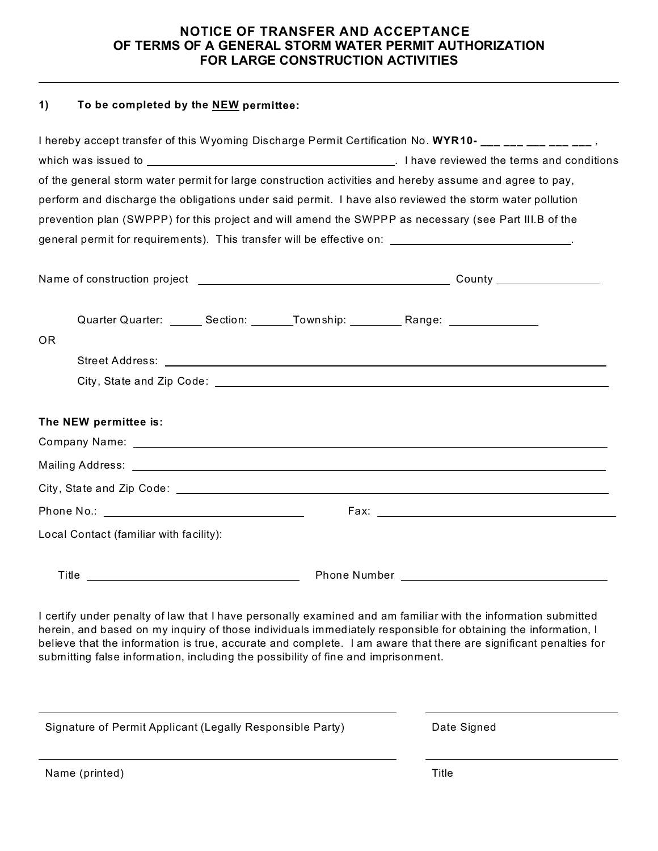## **NOTICE OF TRANSFER AND ACCEPTANCE OF TERMS OF A GENERAL STORM WATER PERMIT AUTHORIZATION FOR LARGE CONSTRUCTION ACTIVITIES**

## **1) To be completed by the NEW permittee:**

|                                                                                                                                                                                                                                      | of the general storm water permit for large construction activities and hereby assume and agree to pay,                                                                                                                        |
|--------------------------------------------------------------------------------------------------------------------------------------------------------------------------------------------------------------------------------------|--------------------------------------------------------------------------------------------------------------------------------------------------------------------------------------------------------------------------------|
|                                                                                                                                                                                                                                      | perform and discharge the obligations under said permit. I have also reviewed the storm water pollution                                                                                                                        |
|                                                                                                                                                                                                                                      | prevention plan (SWPPP) for this project and will amend the SWPPP as necessary (see Part III.B of the                                                                                                                          |
|                                                                                                                                                                                                                                      | general permit for requirements). This transfer will be effective on: ____________________________.                                                                                                                            |
|                                                                                                                                                                                                                                      |                                                                                                                                                                                                                                |
|                                                                                                                                                                                                                                      |                                                                                                                                                                                                                                |
|                                                                                                                                                                                                                                      |                                                                                                                                                                                                                                |
|                                                                                                                                                                                                                                      | Quarter Quarter: _______ Section: ________ Township: __________ Range: _______________                                                                                                                                         |
| <b>OR</b>                                                                                                                                                                                                                            |                                                                                                                                                                                                                                |
|                                                                                                                                                                                                                                      |                                                                                                                                                                                                                                |
|                                                                                                                                                                                                                                      |                                                                                                                                                                                                                                |
|                                                                                                                                                                                                                                      |                                                                                                                                                                                                                                |
| The NEW permittee is:                                                                                                                                                                                                                |                                                                                                                                                                                                                                |
|                                                                                                                                                                                                                                      |                                                                                                                                                                                                                                |
|                                                                                                                                                                                                                                      |                                                                                                                                                                                                                                |
|                                                                                                                                                                                                                                      |                                                                                                                                                                                                                                |
|                                                                                                                                                                                                                                      |                                                                                                                                                                                                                                |
| Local Contact (familiar with facility):                                                                                                                                                                                              |                                                                                                                                                                                                                                |
| Title <b>the contract of the contract of the contract of the contract of the contract of the contract of the contract of the contract of the contract of the contract of the contract of the contract of the contract of the con</b> | Phone Number Lawrence and Contract and Contract and Contract and Contract and Contract and Contract and Contract and Contract and Contract and Contract and Contract and Contract and Contract and Contract and Contract and C |
|                                                                                                                                                                                                                                      |                                                                                                                                                                                                                                |
|                                                                                                                                                                                                                                      | I certify under penalty of law that I have personally examined and am familiar with the information submitted<br>has in and board on my inquiry of those individuals immediately reconsider for obtaining the information. I   |

herein, and based on my inquiry of those individuals immediately responsible for obtaining the information, I believe that the information is true, accurate and complete. I am aware that there are significant penalties for submitting false information, including the possibility of fine and imprisonment.

| Signature of Permit Applicant (Legally Responsible Party) | Date Signed |
|-----------------------------------------------------------|-------------|
| Name (printed)                                            | Title       |